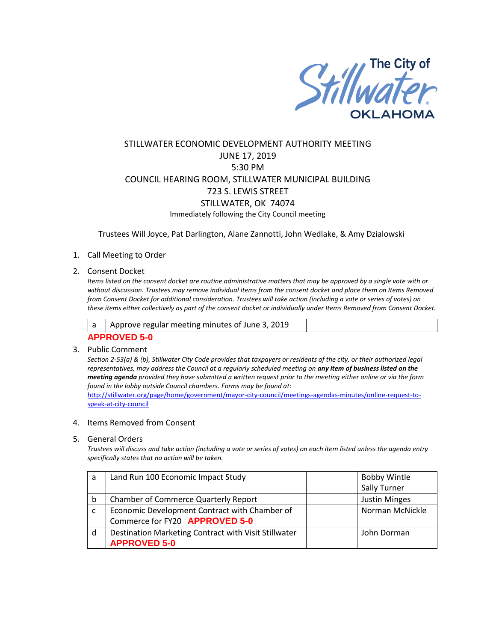

# STILLWATER ECONOMIC DEVELOPMENT AUTHORITY MEETING JUNE 17, 2019 5:30 PM COUNCIL HEARING ROOM, STILLWATER MUNICIPAL BUILDING 723 S. LEWIS STREET STILLWATER, OK 74074 Immediately following the City Council meeting

Trustees Will Joyce, Pat Darlington, Alane Zannotti, John Wedlake, & Amy Dzialowski

### 1. Call Meeting to Order

### 2. Consent Docket

*Items listed on the consent docket are routine administrative matters that may be approved by a single vote with or without discussion. Trustees may remove individual items from the consent docket and place them on Items Removed from Consent Docket for additional consideration. Trustees will take action (including a vote or series of votes) on these items either collectively as part of the consent docket or individually under Items Removed from Consent Docket.*

|                     | Approve regular meeting minutes of June 3, 2019 |  |  |  |
|---------------------|-------------------------------------------------|--|--|--|
| <b>APPROVED 5-0</b> |                                                 |  |  |  |

### 3. Public Comment

*Section 2-53(a) & (b), Stillwater City Code provides that taxpayers or residents of the city, or their authorized legal representatives, may address the Council at a regularly scheduled meeting on any item of business listed on the meeting agenda provided they have submitted a written request prior to the meeting either online or via the form found in the lobby outside Council chambers. Forms may be found at:* 

[http://stillwater.org/page/home/government/mayor-city-council/meetings-agendas-minutes/online-request-to](http://stillwater.org/page/home/government/mayor-city-council/meetings-agendas-minutes/online-request-to-speak-at-city-council)[speak-at-city-council](http://stillwater.org/page/home/government/mayor-city-council/meetings-agendas-minutes/online-request-to-speak-at-city-council)

#### 4. Items Removed from Consent

#### 5. General Orders

*Trustees will discuss and take action (including a vote or series of votes) on each item listed unless the agenda entry specifically states that no action will be taken.*

| a | Land Run 100 Economic Impact Study                   | <b>Bobby Wintle</b>  |
|---|------------------------------------------------------|----------------------|
|   |                                                      | Sally Turner         |
| b | <b>Chamber of Commerce Quarterly Report</b>          | <b>Justin Minges</b> |
|   | Economic Development Contract with Chamber of        | Norman McNickle      |
|   | Commerce for FY20 APPROVED 5-0                       |                      |
| d | Destination Marketing Contract with Visit Stillwater | John Dorman          |
|   | <b>APPROVED 5-0</b>                                  |                      |